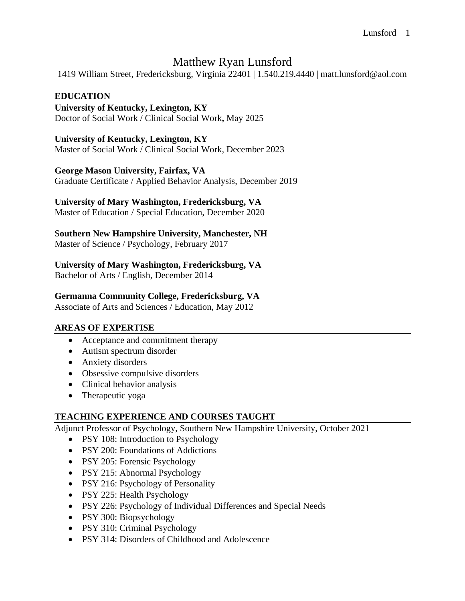# Matthew Ryan Lunsford

1419 William Street, Fredericksburg, Virginia 22401 | 1.540.219.4440 | matt.lunsford@aol.com

## **EDUCATION**

## **University of Kentucky, Lexington, KY**

Doctor of Social Work / Clinical Social Work**,** May 2025

#### **University of Kentucky, Lexington, KY**

Master of Social Work / Clinical Social Work, December 2023

#### **George Mason University, Fairfax, VA**

Graduate Certificate / Applied Behavior Analysis, December 2019

#### **University of Mary Washington, Fredericksburg, VA**

Master of Education / Special Education, December 2020

#### S**outhern New Hampshire University, Manchester, NH**

Master of Science / Psychology, February 2017

## **University of Mary Washington, Fredericksburg, VA**

Bachelor of Arts / English, December 2014

#### **Germanna Community College, Fredericksburg, VA**

Associate of Arts and Sciences / Education, May 2012

## **AREAS OF EXPERTISE**

- Acceptance and commitment therapy
- Autism spectrum disorder
- Anxiety disorders
- Obsessive compulsive disorders
- Clinical behavior analysis
- Therapeutic yoga

## **TEACHING EXPERIENCE AND COURSES TAUGHT**

Adjunct Professor of Psychology, Southern New Hampshire University, October 2021

- PSY 108: Introduction to Psychology
- PSY 200: Foundations of Addictions
- PSY 205: Forensic Psychology
- PSY 215: Abnormal Psychology
- PSY 216: Psychology of Personality
- PSY 225: Health Psychology
- PSY 226: Psychology of Individual Differences and Special Needs
- PSY 300: Biopsychology
- PSY 310: Criminal Psychology
- PSY 314: Disorders of Childhood and Adolescence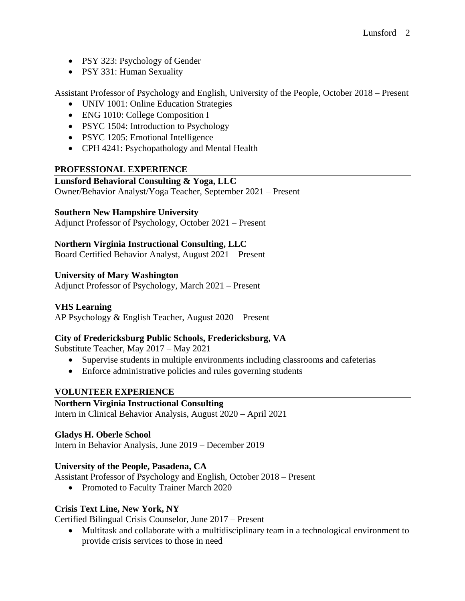- PSY 323: Psychology of Gender
- PSY 331: Human Sexuality

Assistant Professor of Psychology and English, University of the People, October 2018 – Present

- UNIV 1001: Online Education Strategies
- ENG 1010: College Composition I
- PSYC 1504: Introduction to Psychology
- PSYC 1205: Emotional Intelligence
- CPH 4241: Psychopathology and Mental Health

## **PROFESSIONAL EXPERIENCE**

## **Lunsford Behavioral Consulting & Yoga, LLC**

Owner/Behavior Analyst/Yoga Teacher, September 2021 – Present

## **Southern New Hampshire University**

Adjunct Professor of Psychology, October 2021 – Present

## **Northern Virginia Instructional Consulting, LLC**

Board Certified Behavior Analyst, August 2021 – Present

## **University of Mary Washington**

Adjunct Professor of Psychology, March 2021 – Present

## **VHS Learning**

AP Psychology & English Teacher, August 2020 – Present

## **City of Fredericksburg Public Schools, Fredericksburg, VA**

Substitute Teacher, May 2017 – May 2021

- Supervise students in multiple environments including classrooms and cafeterias
- Enforce administrative policies and rules governing students

#### **VOLUNTEER EXPERIENCE**

## **Northern Virginia Instructional Consulting**

Intern in Clinical Behavior Analysis, August 2020 – April 2021

#### **Gladys H. Oberle School**

Intern in Behavior Analysis, June 2019 – December 2019

## **University of the People, Pasadena, CA**

Assistant Professor of Psychology and English, October 2018 – Present

• Promoted to Faculty Trainer March 2020

## **Crisis Text Line, New York, NY**

Certified Bilingual Crisis Counselor, June 2017 – Present

• Multitask and collaborate with a multidisciplinary team in a technological environment to provide crisis services to those in need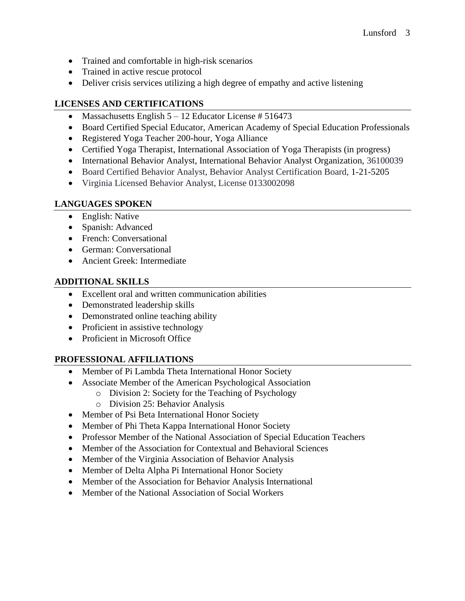- Trained and comfortable in high-risk scenarios
- Trained in active rescue protocol
- Deliver crisis services utilizing a high degree of empathy and active listening

## **LICENSES AND CERTIFICATIONS**

- Massachusetts English  $5 12$  Educator License # 516473
- Board Certified Special Educator, American Academy of Special Education Professionals
- Registered Yoga Teacher 200-hour, Yoga Alliance
- Certified Yoga Therapist, International Association of Yoga Therapists (in progress)
- International Behavior Analyst, International Behavior Analyst Organization, 36100039
- Board Certified Behavior Analyst, Behavior Analyst Certification Board, 1-21-5205
- Virginia Licensed Behavior Analyst, License 0133002098

## **LANGUAGES SPOKEN**

- English: Native
- Spanish: Advanced
- French: Conversational
- German: Conversational
- Ancient Greek: Intermediate

## **ADDITIONAL SKILLS**

- Excellent oral and written communication abilities
- Demonstrated leadership skills
- Demonstrated online teaching ability
- Proficient in assistive technology
- Proficient in Microsoft Office

## **PROFESSIONAL AFFILIATIONS**

- Member of Pi Lambda Theta International Honor Society
- Associate Member of the American Psychological Association
	- o Division 2: Society for the Teaching of Psychology
	- o Division 25: Behavior Analysis
- Member of Psi Beta International Honor Society
- Member of Phi Theta Kappa International Honor Society
- Professor Member of the National Association of Special Education Teachers
- Member of the Association for Contextual and Behavioral Sciences
- Member of the Virginia Association of Behavior Analysis
- Member of Delta Alpha Pi International Honor Society
- Member of the Association for Behavior Analysis International
- Member of the National Association of Social Workers